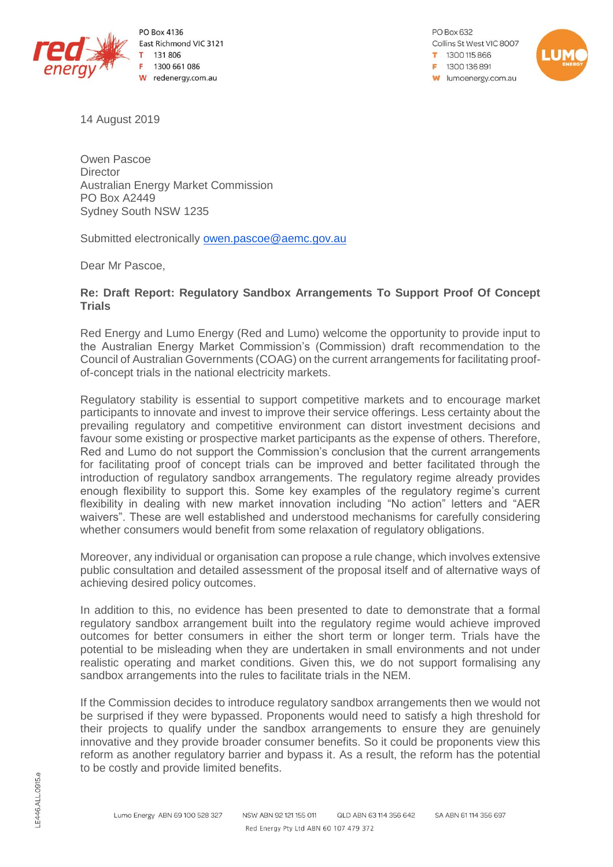

PO Box 4136 East Richmond VIC 3121 131 806 1300 661 086 W redenergy.com.au

PO Box 632 Collins St West VIC 8007 1300115866 F 1300136891 **W** lumoenergy.com.au



14 August 2019

Owen Pascoe **Director** Australian Energy Market Commission PO Box A2449 Sydney South NSW 1235

Submitted electronically [owen.pascoe@aemc.gov.au](mailto:owen.pascoe@aemc.gov.au)

Dear Mr Pascoe,

## **Re: Draft Report: Regulatory Sandbox Arrangements To Support Proof Of Concept Trials**

Red Energy and Lumo Energy (Red and Lumo) welcome the opportunity to provide input to the Australian Energy Market Commission's (Commission) draft recommendation to the Council of Australian Governments (COAG) on the current arrangements for facilitating proofof-concept trials in the national electricity markets.

Regulatory stability is essential to support competitive markets and to encourage market participants to innovate and invest to improve their service offerings. Less certainty about the prevailing regulatory and competitive environment can distort investment decisions and favour some existing or prospective market participants as the expense of others. Therefore, Red and Lumo do not support the Commission's conclusion that the current arrangements for facilitating proof of concept trials can be improved and better facilitated through the introduction of regulatory sandbox arrangements. The regulatory regime already provides enough flexibility to support this. Some key examples of the regulatory regime's current flexibility in dealing with new market innovation including "No action" letters and "AER waivers". These are well established and understood mechanisms for carefully considering whether consumers would benefit from some relaxation of regulatory obligations.

Moreover, any individual or organisation can propose a rule change, which involves extensive public consultation and detailed assessment of the proposal itself and of alternative ways of achieving desired policy outcomes.

In addition to this, no evidence has been presented to date to demonstrate that a formal regulatory sandbox arrangement built into the regulatory regime would achieve improved outcomes for better consumers in either the short term or longer term. Trials have the potential to be misleading when they are undertaken in small environments and not under realistic operating and market conditions. Given this, we do not support formalising any sandbox arrangements into the rules to facilitate trials in the NEM.

If the Commission decides to introduce regulatory sandbox arrangements then we would not be surprised if they were bypassed. Proponents would need to satisfy a high threshold for their projects to qualify under the sandbox arrangements to ensure they are genuinely innovative and they provide broader consumer benefits. So it could be proponents view this reform as another regulatory barrier and bypass it. As a result, the reform has the potential to be costly and provide limited benefits.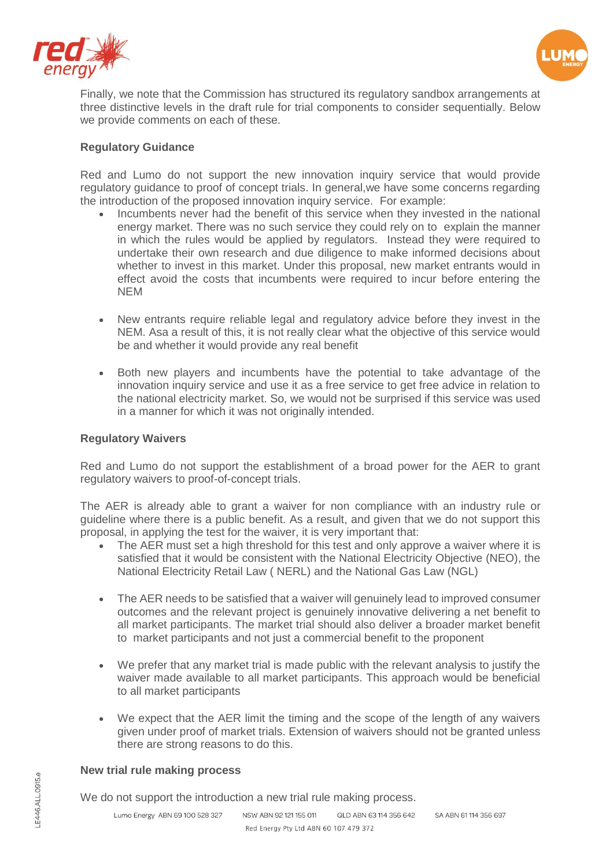



Finally, we note that the Commission has structured its regulatory sandbox arrangements at three distinctive levels in the draft rule for trial components to consider sequentially. Below we provide comments on each of these.

## **Regulatory Guidance**

Red and Lumo do not support the new innovation inquiry service that would provide regulatory guidance to proof of concept trials. In general,we have some concerns regarding the introduction of the proposed innovation inquiry service. For example:

- Incumbents never had the benefit of this service when they invested in the national energy market. There was no such service they could rely on to explain the manner in which the rules would be applied by regulators. Instead they were required to undertake their own research and due diligence to make informed decisions about whether to invest in this market. Under this proposal, new market entrants would in effect avoid the costs that incumbents were required to incur before entering the NEM
- New entrants require reliable legal and regulatory advice before they invest in the NEM. Asa a result of this, it is not really clear what the objective of this service would be and whether it would provide any real benefit
- Both new players and incumbents have the potential to take advantage of the innovation inquiry service and use it as a free service to get free advice in relation to the national electricity market. So, we would not be surprised if this service was used in a manner for which it was not originally intended.

### **Regulatory Waivers**

Red and Lumo do not support the establishment of a broad power for the AER to grant regulatory waivers to proof-of-concept trials.

The AER is already able to grant a waiver for non compliance with an industry rule or guideline where there is a public benefit. As a result, and given that we do not support this proposal, in applying the test for the waiver, it is very important that:

- The AER must set a high threshold for this test and only approve a waiver where it is satisfied that it would be consistent with the National Electricity Objective (NEO), the National Electricity Retail Law ( NERL) and the National Gas Law (NGL)
- The AER needs to be satisfied that a waiver will genuinely lead to improved consumer outcomes and the relevant project is genuinely innovative delivering a net benefit to all market participants. The market trial should also deliver a broader market benefit to market participants and not just a commercial benefit to the proponent
- We prefer that any market trial is made public with the relevant analysis to justify the waiver made available to all market participants. This approach would be beneficial to all market participants
- We expect that the AER limit the timing and the scope of the length of any waivers given under proof of market trials. Extension of waivers should not be granted unless there are strong reasons to do this.

#### **New trial rule making process**

We do not support the introduction a new trial rule making process.